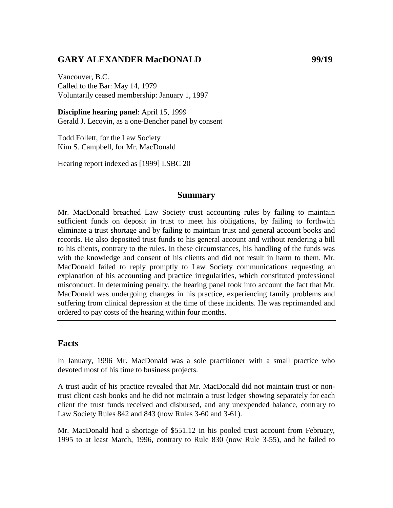## GARY ALEXANDER MacDONALD 99/19

Vancouver, B.C. Called to the Bar: May 14, 1979 Voluntarily ceased membership: January 1, 1997

**Discipline hearing panel**: April 15, 1999 Gerald J. Lecovin, as a one-Bencher panel by consent

Todd Follett, for the Law Society Kim S. Campbell, for Mr. MacDonald

Hearing report indexed as [1999] LSBC 20

#### **Summary**

Mr. MacDonald breached Law Society trust accounting rules by failing to maintain sufficient funds on deposit in trust to meet his obligations, by failing to forthwith eliminate a trust shortage and by failing to maintain trust and general account books and records. He also deposited trust funds to his general account and without rendering a bill to his clients, contrary to the rules. In these circumstances, his handling of the funds was with the knowledge and consent of his clients and did not result in harm to them. Mr. MacDonald failed to reply promptly to Law Society communications requesting an explanation of his accounting and practice irregularities, which constituted professional misconduct. In determining penalty, the hearing panel took into account the fact that Mr. MacDonald was undergoing changes in his practice, experiencing family problems and suffering from clinical depression at the time of these incidents. He was reprimanded and ordered to pay costs of the hearing within four months.

## **Facts**

In January, 1996 Mr. MacDonald was a sole practitioner with a small practice who devoted most of his time to business projects.

A trust audit of his practice revealed that Mr. MacDonald did not maintain trust or nontrust client cash books and he did not maintain a trust ledger showing separately for each client the trust funds received and disbursed, and any unexpended balance, contrary to Law Society Rules 842 and 843 (now Rules 3-60 and 3-61).

Mr. MacDonald had a shortage of \$551.12 in his pooled trust account from February, 1995 to at least March, 1996, contrary to Rule 830 (now Rule 3-55), and he failed to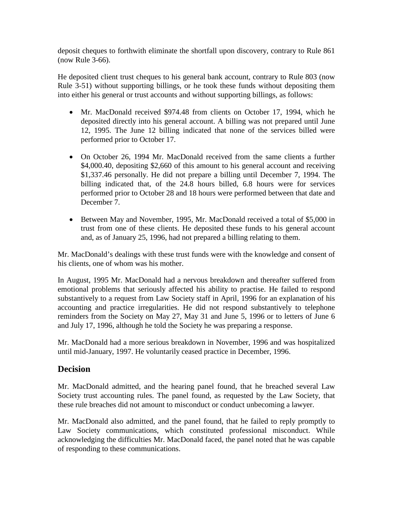deposit cheques to forthwith eliminate the shortfall upon discovery, contrary to Rule 861 (now Rule 3-66).

He deposited client trust cheques to his general bank account, contrary to Rule 803 (now Rule 3-51) without supporting billings, or he took these funds without depositing them into either his general or trust accounts and without supporting billings, as follows:

- Mr. MacDonald received \$974.48 from clients on October 17, 1994, which he deposited directly into his general account. A billing was not prepared until June 12, 1995. The June 12 billing indicated that none of the services billed were performed prior to October 17.
- On October 26, 1994 Mr. MacDonald received from the same clients a further \$4,000.40, depositing \$2,660 of this amount to his general account and receiving \$1,337.46 personally. He did not prepare a billing until December 7, 1994. The billing indicated that, of the 24.8 hours billed, 6.8 hours were for services performed prior to October 28 and 18 hours were performed between that date and December 7.
- Between May and November, 1995, Mr. MacDonald received a total of \$5,000 in trust from one of these clients. He deposited these funds to his general account and, as of January 25, 1996, had not prepared a billing relating to them.

Mr. MacDonald's dealings with these trust funds were with the knowledge and consent of his clients, one of whom was his mother.

In August, 1995 Mr. MacDonald had a nervous breakdown and thereafter suffered from emotional problems that seriously affected his ability to practise. He failed to respond substantively to a request from Law Society staff in April, 1996 for an explanation of his accounting and practice irregularities. He did not respond substantively to telephone reminders from the Society on May 27, May 31 and June 5, 1996 or to letters of June 6 and July 17, 1996, although he told the Society he was preparing a response.

Mr. MacDonald had a more serious breakdown in November, 1996 and was hospitalized until mid-January, 1997. He voluntarily ceased practice in December, 1996.

## **Decision**

Mr. MacDonald admitted, and the hearing panel found, that he breached several Law Society trust accounting rules. The panel found, as requested by the Law Society, that these rule breaches did not amount to misconduct or conduct unbecoming a lawyer.

Mr. MacDonald also admitted, and the panel found, that he failed to reply promptly to Law Society communications, which constituted professional misconduct. While acknowledging the difficulties Mr. MacDonald faced, the panel noted that he was capable of responding to these communications.